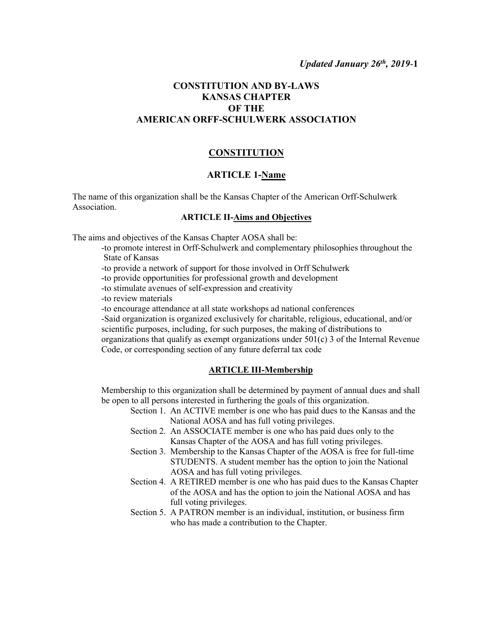# **CONSTITUTION AND BY-LAWS KANSAS CHAPTER OF THE AMERICAN ORFF-SCHULWERK ASSOCIATION**

### **CONSTITUTION**

### **ARTICLE 1-Name**

The name of this organization shall be the Kansas Chapter of the American Orff-Schulwerk Association.

## **ARTICLE II-Aims and Objectives**

The aims and objectives of the Kansas Chapter AOSA shall be:

-to promote interest in Orff-Schulwerk and complementary philosophies throughout the State of Kansas

-to provide a network of support for those involved in Orff Schulwerk

-to provide opportunities for professional growth and development

-to stimulate avenues of self-expression and creativity

-to review materials

-to encourage attendance at all state workshops ad national conferences

-Said organization is organized exclusively for charitable, religious, educational, and/or scientific purposes, including, for such purposes, the making of distributions to organizations that qualify as exempt organizations under  $501(c)$  3 of the Internal Revenue Code, or corresponding section of any future deferral tax code

#### **ARTICLE III-Membership**

Membership to this organization shall be determined by payment of annual dues and shall be open to all persons interested in furthering the goals of this organization.

- Section 1. An ACTIVE member is one who has paid dues to the Kansas and the National AOSA and has full voting privileges.
- Section 2. An ASSOCIATE member is one who has paid dues only to the Kansas Chapter of the AOSA and has full voting privileges.
- Section 3. Membership to the Kansas Chapter of the AOSA is free for full-time STUDENTS. A student member has the option to join the National AOSA and has full voting privileges.
- Section 4. A RETIRED member is one who has paid dues to the Kansas Chapter of the AOSA and has the option to join the National AOSA and has full voting privileges.
- Section 5. A PATRON member is an individual, institution, or business firm who has made a contribution to the Chapter.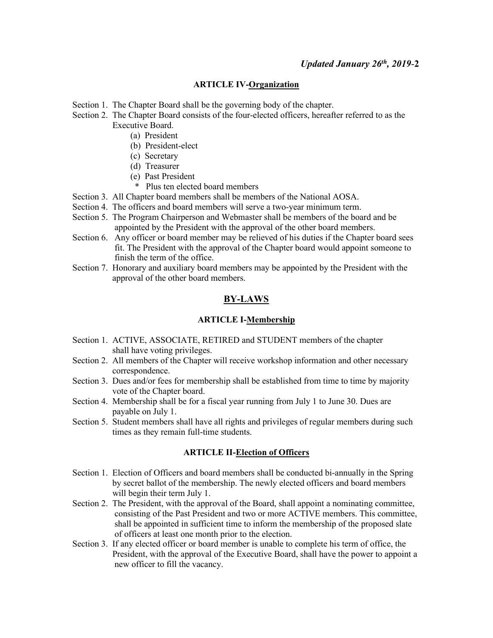#### **ARTICLE IV-Organization**

- Section 1. The Chapter Board shall be the governing body of the chapter.
- Section 2. The Chapter Board consists of the four-elected officers, hereafter referred to as the Executive Board.
	- (a) President
	- (b) President-elect
	- (c) Secretary
	- (d) Treasurer
	- (e) Past President
		- \* Plus ten elected board members
- Section 3. All Chapter board members shall be members of the National AOSA.
- Section 4. The officers and board members will serve a two-year minimum term.
- Section 5. The Program Chairperson and Webmaster shall be members of the board and be appointed by the President with the approval of the other board members.
- Section 6. Any officer or board member may be relieved of his duties if the Chapter board sees fit. The President with the approval of the Chapter board would appoint someone to finish the term of the office.
- Section 7. Honorary and auxiliary board members may be appointed by the President with the approval of the other board members.

# **BY-LAWS**

### **ARTICLE I-Membership**

- Section 1. ACTIVE, ASSOCIATE, RETIRED and STUDENT members of the chapter shall have voting privileges.
- Section 2. All members of the Chapter will receive workshop information and other necessary correspondence.
- Section 3. Dues and/or fees for membership shall be established from time to time by majority vote of the Chapter board.
- Section 4. Membership shall be for a fiscal year running from July 1 to June 30. Dues are payable on July 1.
- Section 5. Student members shall have all rights and privileges of regular members during such times as they remain full-time students.

### **ARTICLE II-Election of Officers**

- Section 1. Election of Officers and board members shall be conducted bi-annually in the Spring by secret ballot of the membership. The newly elected officers and board members will begin their term July 1.
- Section 2. The President, with the approval of the Board, shall appoint a nominating committee, consisting of the Past President and two or more ACTIVE members. This committee, shall be appointed in sufficient time to inform the membership of the proposed slate of officers at least one month prior to the election.
- Section 3. If any elected officer or board member is unable to complete his term of office, the President, with the approval of the Executive Board, shall have the power to appoint a new officer to fill the vacancy.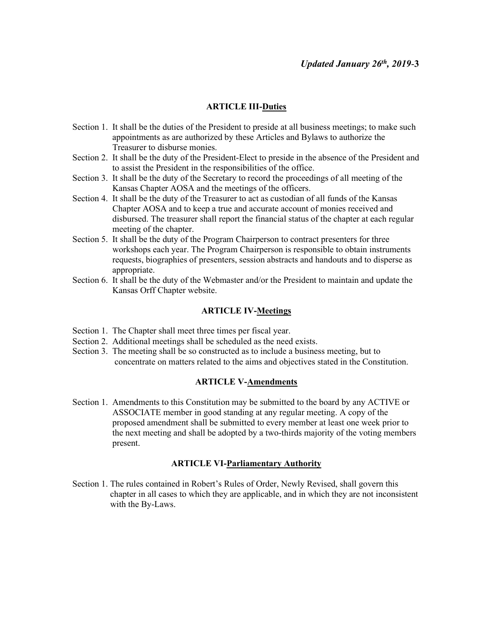### **ARTICLE III-Duties**

- Section 1. It shall be the duties of the President to preside at all business meetings; to make such appointments as are authorized by these Articles and Bylaws to authorize the Treasurer to disburse monies.
- Section 2. It shall be the duty of the President-Elect to preside in the absence of the President and to assist the President in the responsibilities of the office.
- Section 3. It shall be the duty of the Secretary to record the proceedings of all meeting of the Kansas Chapter AOSA and the meetings of the officers.
- Section 4. It shall be the duty of the Treasurer to act as custodian of all funds of the Kansas Chapter AOSA and to keep a true and accurate account of monies received and disbursed. The treasurer shall report the financial status of the chapter at each regular meeting of the chapter.
- Section 5. It shall be the duty of the Program Chairperson to contract presenters for three workshops each year. The Program Chairperson is responsible to obtain instruments requests, biographies of presenters, session abstracts and handouts and to disperse as appropriate.
- Section 6. It shall be the duty of the Webmaster and/or the President to maintain and update the Kansas Orff Chapter website.

#### **ARTICLE IV-Meetings**

- Section 1. The Chapter shall meet three times per fiscal year.
- Section 2. Additional meetings shall be scheduled as the need exists.
- Section 3. The meeting shall be so constructed as to include a business meeting, but to concentrate on matters related to the aims and objectives stated in the Constitution.

#### **ARTICLE V-Amendments**

Section 1. Amendments to this Constitution may be submitted to the board by any ACTIVE or ASSOCIATE member in good standing at any regular meeting. A copy of the proposed amendment shall be submitted to every member at least one week prior to the next meeting and shall be adopted by a two-thirds majority of the voting members present.

#### **ARTICLE VI-Parliamentary Authority**

Section 1. The rules contained in Robert's Rules of Order, Newly Revised, shall govern this chapter in all cases to which they are applicable, and in which they are not inconsistent with the By-Laws.